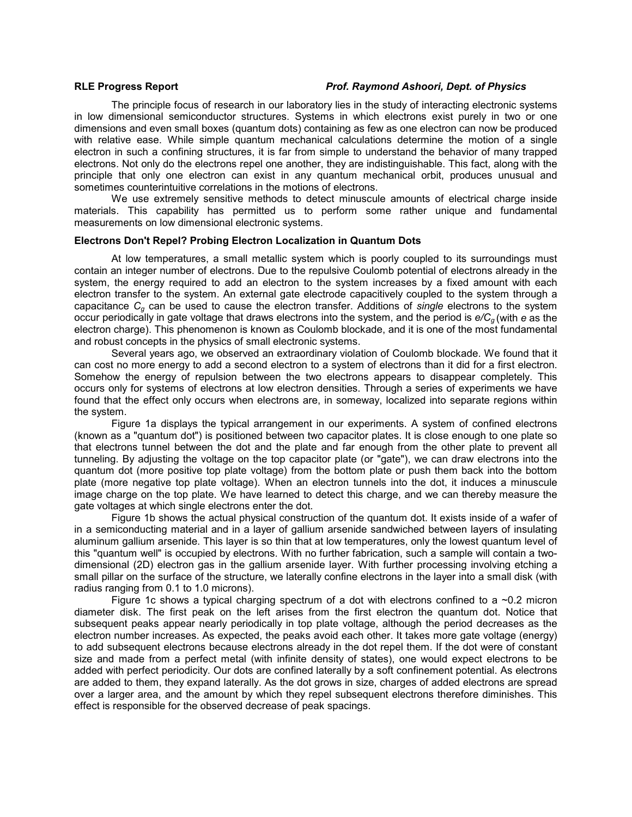## **RLE Progress Report** *Prof. Raymond Ashoori, Dept. of Physics*

The principle focus of research in our laboratory lies in the study of interacting electronic systems in low dimensional semiconductor structures. Systems in which electrons exist purely in two or one dimensions and even small boxes (quantum dots) containing as few as one electron can now be produced with relative ease. While simple quantum mechanical calculations determine the motion of a single electron in such a confining structures, it is far from simple to understand the behavior of many trapped electrons. Not only do the electrons repel one another, they are indistinguishable. This fact, along with the principle that only one electron can exist in any quantum mechanical orbit, produces unusual and sometimes counterintuitive correlations in the motions of electrons.

We use extremely sensitive methods to detect minuscule amounts of electrical charge inside materials. This capability has permitted us to perform some rather unique and fundamental measurements on low dimensional electronic systems.

### **Electrons Don't Repel? Probing Electron Localization in Quantum Dots**

At low temperatures, a small metallic system which is poorly coupled to its surroundings must contain an integer number of electrons. Due to the repulsive Coulomb potential of electrons already in the system, the energy required to add an electron to the system increases by a fixed amount with each electron transfer to the system. An external gate electrode capacitively coupled to the system through a capacitance *Cg* can be used to cause the electron transfer. Additions of *single* electrons to the system occur periodically in gate voltage that draws electrons into the system, and the period is *e/Cg* (with *e* as the electron charge). This phenomenon is known as Coulomb blockade, and it is one of the most fundamental and robust concepts in the physics of small electronic systems.

Several years ago, we observed an extraordinary violation of Coulomb blockade. We found that it can cost no more energy to add a second electron to a system of electrons than it did for a first electron. Somehow the energy of repulsion between the two electrons appears to disappear completely. This occurs only for systems of electrons at low electron densities. Through a series of experiments we have found that the effect only occurs when electrons are, in someway, localized into separate regions within the system.

Figure 1a displays the typical arrangement in our experiments. A system of confined electrons (known as a "quantum dot") is positioned between two capacitor plates. It is close enough to one plate so that electrons tunnel between the dot and the plate and far enough from the other plate to prevent all tunneling. By adjusting the voltage on the top capacitor plate (or "gate"), we can draw electrons into the quantum dot (more positive top plate voltage) from the bottom plate or push them back into the bottom plate (more negative top plate voltage). When an electron tunnels into the dot, it induces a minuscule image charge on the top plate. We have learned to detect this charge, and we can thereby measure the gate voltages at which single electrons enter the dot.

Figure 1b shows the actual physical construction of the quantum dot. It exists inside of a wafer of in a semiconducting material and in a layer of gallium arsenide sandwiched between layers of insulating aluminum gallium arsenide. This layer is so thin that at low temperatures, only the lowest quantum level of this "quantum well" is occupied by electrons. With no further fabrication, such a sample will contain a twodimensional (2D) electron gas in the gallium arsenide layer. With further processing involving etching a small pillar on the surface of the structure, we laterally confine electrons in the layer into a small disk (with radius ranging from 0.1 to 1.0 microns).

Figure 1c shows a typical charging spectrum of a dot with electrons confined to a  $\sim$ 0.2 micron diameter disk. The first peak on the left arises from the first electron the quantum dot. Notice that subsequent peaks appear nearly periodically in top plate voltage, although the period decreases as the electron number increases. As expected, the peaks avoid each other. It takes more gate voltage (energy) to add subsequent electrons because electrons already in the dot repel them. If the dot were of constant size and made from a perfect metal (with infinite density of states), one would expect electrons to be added with perfect periodicity. Our dots are confined laterally by a soft confinement potential. As electrons are added to them, they expand laterally. As the dot grows in size, charges of added electrons are spread over a larger area, and the amount by which they repel subsequent electrons therefore diminishes. This effect is responsible for the observed decrease of peak spacings.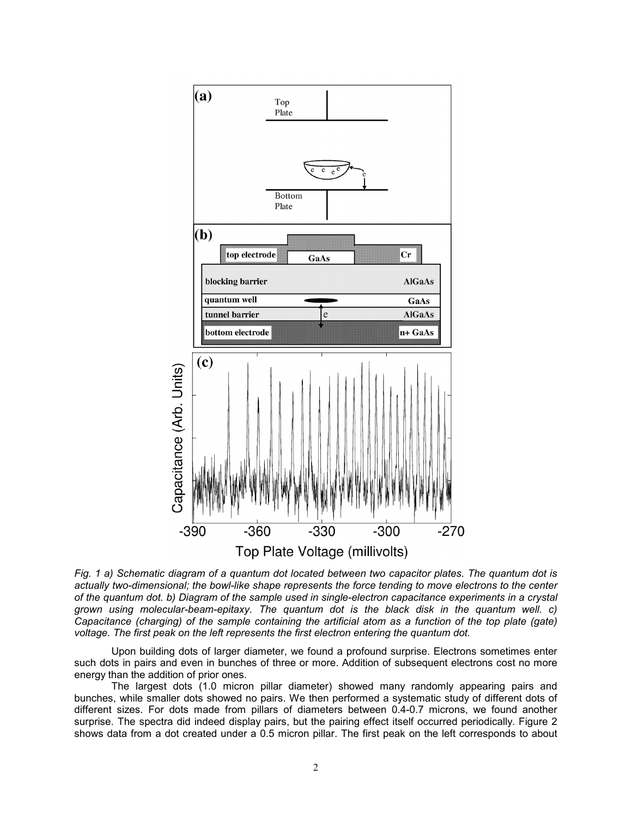

*Fig. 1 a) Schematic diagram of a quantum dot located between two capacitor plates. The quantum dot is actually two-dimensional; the bowl-like shape represents the force tending to move electrons to the center of the quantum dot. b) Diagram of the sample used in single-electron capacitance experiments in a crystal grown using molecular-beam-epitaxy. The quantum dot is the black disk in the quantum well. c) Capacitance (charging) of the sample containing the artificial atom as a function of the top plate (gate) voltage. The first peak on the left represents the first electron entering the quantum dot.*

Upon building dots of larger diameter, we found a profound surprise. Electrons sometimes enter such dots in pairs and even in bunches of three or more. Addition of subsequent electrons cost no more energy than the addition of prior ones.

The largest dots (1.0 micron pillar diameter) showed many randomly appearing pairs and bunches, while smaller dots showed no pairs. We then performed a systematic study of different dots of different sizes. For dots made from pillars of diameters between 0.4-0.7 microns, we found another surprise. The spectra did indeed display pairs, but the pairing effect itself occurred periodically. Figure 2 shows data from a dot created under a 0.5 micron pillar. The first peak on the left corresponds to about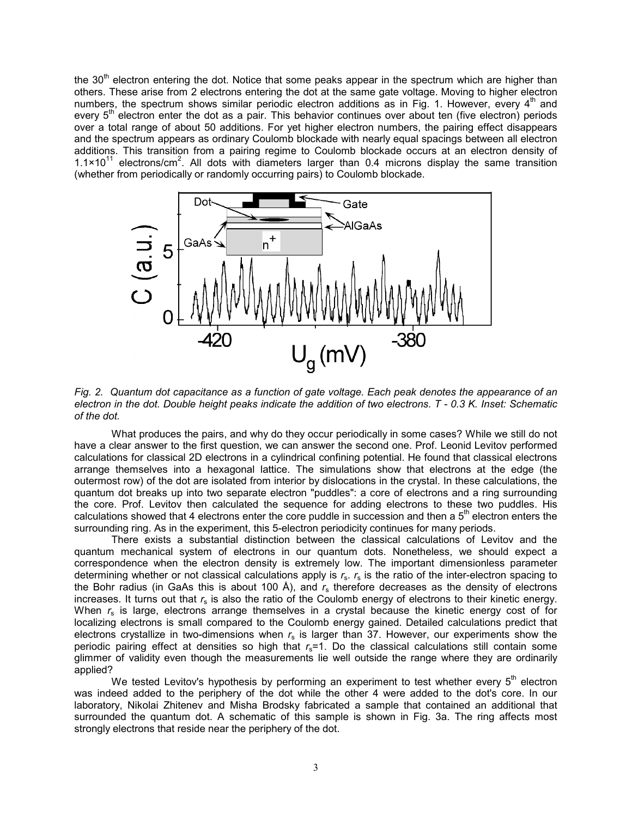the 30<sup>th</sup> electron entering the dot. Notice that some peaks appear in the spectrum which are higher than others. These arise from 2 electrons entering the dot at the same gate voltage. Moving to higher electron numbers, the spectrum shows similar periodic electron additions as in Fig. 1. However, every  $4<sup>th</sup>$  and every  $5<sup>th</sup>$  electron enter the dot as a pair. This behavior continues over about ten (five electron) periods over a total range of about 50 additions. For yet higher electron numbers, the pairing effect disappears and the spectrum appears as ordinary Coulomb blockade with nearly equal spacings between all electron additions. This transition from a pairing regime to Coulomb blockade occurs at an electron density of  $1.1 \times 10^{11}$  electrons/cm<sup>2</sup>. All dots with diameters larger than 0.4 microns display the same transition (whether from periodically or randomly occurring pairs) to Coulomb blockade.



*Fig. 2. Quantum dot capacitance as a function of gate voltage. Each peak denotes the appearance of an electron in the dot. Double height peaks indicate the addition of two electrons. T - 0.3 K. Inset: Schematic of the dot.* 

What produces the pairs, and why do they occur periodically in some cases? While we still do not have a clear answer to the first question, we can answer the second one. Prof. Leonid Levitov performed calculations for classical 2D electrons in a cylindrical confining potential. He found that classical electrons arrange themselves into a hexagonal lattice. The simulations show that electrons at the edge (the outermost row) of the dot are isolated from interior by dislocations in the crystal. In these calculations, the quantum dot breaks up into two separate electron "puddles": a core of electrons and a ring surrounding the core. Prof. Levitov then calculated the sequence for adding electrons to these two puddles. His calculations showed that 4 electrons enter the core puddle in succession and then a  $5<sup>th</sup>$  electron enters the surrounding ring. As in the experiment, this 5-electron periodicity continues for many periods.

There exists a substantial distinction between the classical calculations of Levitov and the quantum mechanical system of electrons in our quantum dots. Nonetheless, we should expect a correspondence when the electron density is extremely low. The important dimensionless parameter determining whether or not classical calculations apply is *r*s. *r*s is the ratio of the inter-electron spacing to the Bohr radius (in GaAs this is about 100 Å), and *r*s therefore decreases as the density of electrons increases. It turns out that *r*s is also the ratio of the Coulomb energy of electrons to their kinetic energy. When  $r_s$  is large, electrons arrange themselves in a crystal because the kinetic energy cost of for localizing electrons is small compared to the Coulomb energy gained. Detailed calculations predict that electrons crystallize in two-dimensions when  $r_s$  is larger than 37. However, our experiments show the periodic pairing effect at densities so high that  $r_s$ =1. Do the classical calculations still contain some glimmer of validity even though the measurements lie well outside the range where they are ordinarily applied?

We tested Levitov's hypothesis by performing an experiment to test whether every  $5<sup>th</sup>$  electron was indeed added to the periphery of the dot while the other 4 were added to the dot's core. In our laboratory, Nikolai Zhitenev and Misha Brodsky fabricated a sample that contained an additional that surrounded the quantum dot. A schematic of this sample is shown in Fig. 3a. The ring affects most strongly electrons that reside near the periphery of the dot.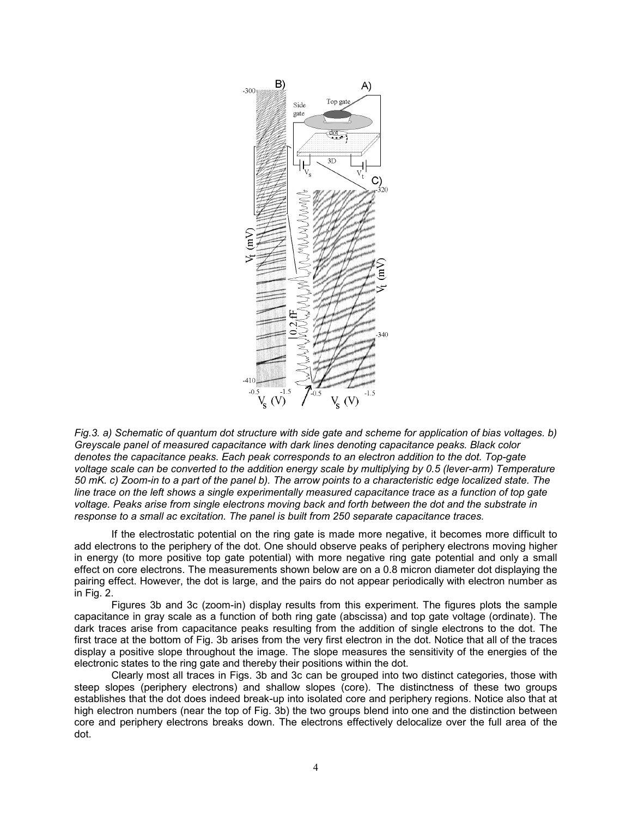

*Fig.3. a) Schematic of quantum dot structure with side gate and scheme for application of bias voltages. b) Greyscale panel of measured capacitance with dark lines denoting capacitance peaks. Black color denotes the capacitance peaks. Each peak corresponds to an electron addition to the dot. Top-gate voltage scale can be converted to the addition energy scale by multiplying by 0.5 (lever-arm) Temperature 50 mK. c) Zoom-in to a part of the panel b). The arrow points to a characteristic edge localized state. The line trace on the left shows a single experimentally measured capacitance trace as a function of top gate voltage. Peaks arise from single electrons moving back and forth between the dot and the substrate in response to a small ac excitation. The panel is built from 250 separate capacitance traces.* 

If the electrostatic potential on the ring gate is made more negative, it becomes more difficult to add electrons to the periphery of the dot. One should observe peaks of periphery electrons moving higher in energy (to more positive top gate potential) with more negative ring gate potential and only a small effect on core electrons. The measurements shown below are on a 0.8 micron diameter dot displaying the pairing effect. However, the dot is large, and the pairs do not appear periodically with electron number as in Fig. 2.

Figures 3b and 3c (zoom-in) display results from this experiment. The figures plots the sample capacitance in gray scale as a function of both ring gate (abscissa) and top gate voltage (ordinate). The dark traces arise from capacitance peaks resulting from the addition of single electrons to the dot. The first trace at the bottom of Fig. 3b arises from the very first electron in the dot. Notice that all of the traces display a positive slope throughout the image. The slope measures the sensitivity of the energies of the electronic states to the ring gate and thereby their positions within the dot.

Clearly most all traces in Figs. 3b and 3c can be grouped into two distinct categories, those with steep slopes (periphery electrons) and shallow slopes (core). The distinctness of these two groups establishes that the dot does indeed break-up into isolated core and periphery regions. Notice also that at high electron numbers (near the top of Fig. 3b) the two groups blend into one and the distinction between core and periphery electrons breaks down. The electrons effectively delocalize over the full area of the dot.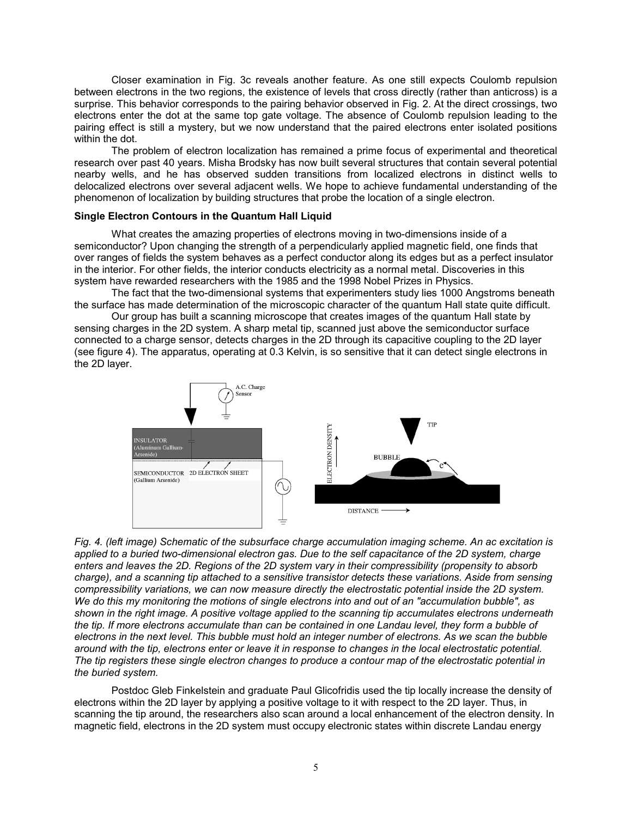Closer examination in Fig. 3c reveals another feature. As one still expects Coulomb repulsion between electrons in the two regions, the existence of levels that cross directly (rather than anticross) is a surprise. This behavior corresponds to the pairing behavior observed in Fig. 2. At the direct crossings, two electrons enter the dot at the same top gate voltage. The absence of Coulomb repulsion leading to the pairing effect is still a mystery, but we now understand that the paired electrons enter isolated positions within the dot.

The problem of electron localization has remained a prime focus of experimental and theoretical research over past 40 years. Misha Brodsky has now built several structures that contain several potential nearby wells, and he has observed sudden transitions from localized electrons in distinct wells to delocalized electrons over several adjacent wells. We hope to achieve fundamental understanding of the phenomenon of localization by building structures that probe the location of a single electron.

# **Single Electron Contours in the Quantum Hall Liquid**

What creates the amazing properties of electrons moving in two-dimensions inside of a semiconductor? Upon changing the strength of a perpendicularly applied magnetic field, one finds that over ranges of fields the system behaves as a perfect conductor along its edges but as a perfect insulator in the interior. For other fields, the interior conducts electricity as a normal metal. Discoveries in this system have rewarded researchers with the 1985 and the 1998 Nobel Prizes in Physics.

The fact that the two-dimensional systems that experimenters study lies 1000 Angstroms beneath the surface has made determination of the microscopic character of the quantum Hall state quite difficult.

Our group has built a scanning microscope that creates images of the quantum Hall state by sensing charges in the 2D system. A sharp metal tip, scanned just above the semiconductor surface connected to a charge sensor, detects charges in the 2D through its capacitive coupling to the 2D layer (see figure 4). The apparatus, operating at 0.3 Kelvin, is so sensitive that it can detect single electrons in the 2D layer.



*Fig. 4. (left image) Schematic of the subsurface charge accumulation imaging scheme. An ac excitation is applied to a buried two-dimensional electron gas. Due to the self capacitance of the 2D system, charge enters and leaves the 2D. Regions of the 2D system vary in their compressibility (propensity to absorb charge), and a scanning tip attached to a sensitive transistor detects these variations. Aside from sensing compressibility variations, we can now measure directly the electrostatic potential inside the 2D system. We do this my monitoring the motions of single electrons into and out of an "accumulation bubble", as shown in the right image. A positive voltage applied to the scanning tip accumulates electrons underneath the tip. If more electrons accumulate than can be contained in one Landau level, they form a bubble of electrons in the next level. This bubble must hold an integer number of electrons. As we scan the bubble around with the tip, electrons enter or leave it in response to changes in the local electrostatic potential. The tip registers these single electron changes to produce a contour map of the electrostatic potential in the buried system.* 

Postdoc Gleb Finkelstein and graduate Paul Glicofridis used the tip locally increase the density of electrons within the 2D layer by applying a positive voltage to it with respect to the 2D layer. Thus, in scanning the tip around, the researchers also scan around a local enhancement of the electron density. In magnetic field, electrons in the 2D system must occupy electronic states within discrete Landau energy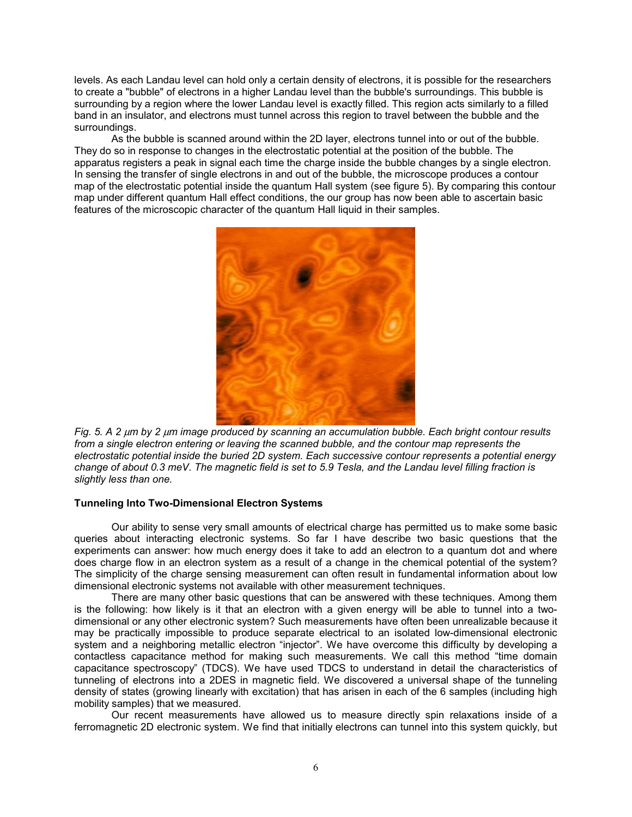levels. As each Landau level can hold only a certain density of electrons, it is possible for the researchers to create a "bubble" of electrons in a higher Landau level than the bubble's surroundings. This bubble is surrounding by a region where the lower Landau level is exactly filled. This region acts similarly to a filled band in an insulator, and electrons must tunnel across this region to travel between the bubble and the surroundings.

As the bubble is scanned around within the 2D layer, electrons tunnel into or out of the bubble. They do so in response to changes in the electrostatic potential at the position of the bubble. The apparatus registers a peak in signal each time the charge inside the bubble changes by a single electron. In sensing the transfer of single electrons in and out of the bubble, the microscope produces a contour map of the electrostatic potential inside the quantum Hall system (see figure 5). By comparing this contour map under different quantum Hall effect conditions, the our group has now been able to ascertain basic features of the microscopic character of the quantum Hall liquid in their samples.



*Fig. 5. A 2* µ*m by 2* µ*m image produced by scanning an accumulation bubble. Each bright contour results from a single electron entering or leaving the scanned bubble, and the contour map represents the electrostatic potential inside the buried 2D system. Each successive contour represents a potential energy change of about 0.3 meV. The magnetic field is set to 5.9 Tesla, and the Landau level filling fraction is slightly less than one.*

### **Tunneling Into Two-Dimensional Electron Systems**

Our ability to sense very small amounts of electrical charge has permitted us to make some basic queries about interacting electronic systems. So far I have describe two basic questions that the experiments can answer: how much energy does it take to add an electron to a quantum dot and where does charge flow in an electron system as a result of a change in the chemical potential of the system? The simplicity of the charge sensing measurement can often result in fundamental information about low dimensional electronic systems not available with other measurement techniques.

There are many other basic questions that can be answered with these techniques. Among them is the following: how likely is it that an electron with a given energy will be able to tunnel into a twodimensional or any other electronic system? Such measurements have often been unrealizable because it may be practically impossible to produce separate electrical to an isolated low-dimensional electronic system and a neighboring metallic electron "injector". We have overcome this difficulty by developing a contactless capacitance method for making such measurements. We call this method "time domain capacitance spectroscopy" (TDCS). We have used TDCS to understand in detail the characteristics of tunneling of electrons into a 2DES in magnetic field. We discovered a universal shape of the tunneling density of states (growing linearly with excitation) that has arisen in each of the 6 samples (including high mobility samples) that we measured.

Our recent measurements have allowed us to measure directly spin relaxations inside of a ferromagnetic 2D electronic system. We find that initially electrons can tunnel into this system quickly, but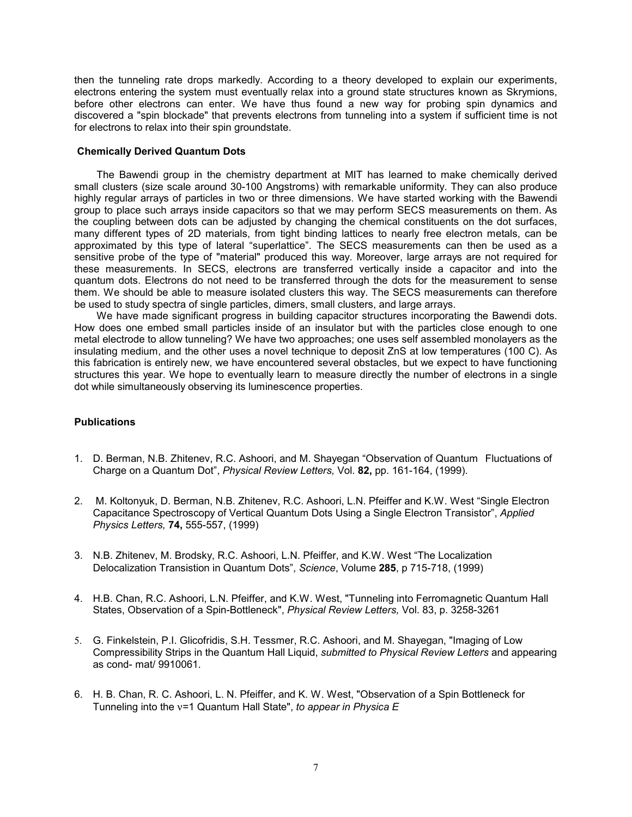then the tunneling rate drops markedly. According to a theory developed to explain our experiments, electrons entering the system must eventually relax into a ground state structures known as Skrymions, before other electrons can enter. We have thus found a new way for probing spin dynamics and discovered a "spin blockade" that prevents electrons from tunneling into a system if sufficient time is not for electrons to relax into their spin groundstate.

# **Chemically Derived Quantum Dots**

The Bawendi group in the chemistry department at MIT has learned to make chemically derived small clusters (size scale around 30-100 Angstroms) with remarkable uniformity. They can also produce highly regular arrays of particles in two or three dimensions. We have started working with the Bawendi group to place such arrays inside capacitors so that we may perform SECS measurements on them. As the coupling between dots can be adjusted by changing the chemical constituents on the dot surfaces, many different types of 2D materials, from tight binding lattices to nearly free electron metals, can be approximated by this type of lateral "superlattice". The SECS measurements can then be used as a sensitive probe of the type of "material" produced this way. Moreover, large arrays are not required for these measurements. In SECS, electrons are transferred vertically inside a capacitor and into the quantum dots. Electrons do not need to be transferred through the dots for the measurement to sense them. We should be able to measure isolated clusters this way. The SECS measurements can therefore be used to study spectra of single particles, dimers, small clusters, and large arrays.

We have made significant progress in building capacitor structures incorporating the Bawendi dots. How does one embed small particles inside of an insulator but with the particles close enough to one metal electrode to allow tunneling? We have two approaches; one uses self assembled monolayers as the insulating medium, and the other uses a novel technique to deposit ZnS at low temperatures (100 C). As this fabrication is entirely new, we have encountered several obstacles, but we expect to have functioning structures this year. We hope to eventually learn to measure directly the number of electrons in a single dot while simultaneously observing its luminescence properties.

## **Publications**

- 1. D. Berman, N.B. Zhitenev, R.C. Ashoori, and M. Shayegan "Observation of Quantum Fluctuations of Charge on a Quantum Dot", *Physical Review Letters,* Vol. **82,** pp. 161-164, (1999).
- 2. M. Koltonyuk, D. Berman, N.B. Zhitenev, R.C. Ashoori, L.N. Pfeiffer and K.W. West "Single Electron Capacitance Spectroscopy of Vertical Quantum Dots Using a Single Electron Transistor", *Applied Physics Letters,* **74,** 555-557, (1999)
- 3. N.B. Zhitenev, M. Brodsky, R.C. Ashoori, L.N. Pfeiffer, and K.W. West "The Localization Delocalization Transistion in Quantum Dots", *Science*, Volume **285**, p 715-718, (1999)
- 4. H.B. Chan, R.C. Ashoori, L.N. Pfeiffer, and K.W. West, "Tunneling into Ferromagnetic Quantum Hall States, Observation of a Spin-Bottleneck", *Physical Review Letters,* Vol. 83, p. 3258-3261
- 5. G. Finkelstein, P.I. Glicofridis, S.H. Tessmer, R.C. Ashoori, and M. Shayegan, "Imaging of Low Compressibility Strips in the Quantum Hall Liquid, *submitted to Physical Review Letters* and appearing as cond- mat/ 9910061.
- 6. H. B. Chan, R. C. Ashoori, L. N. Pfeiffer, and K. W. West, "Observation of a Spin Bottleneck for Tunneling into the ν=1 Quantum Hall State", *to appear in Physica E*